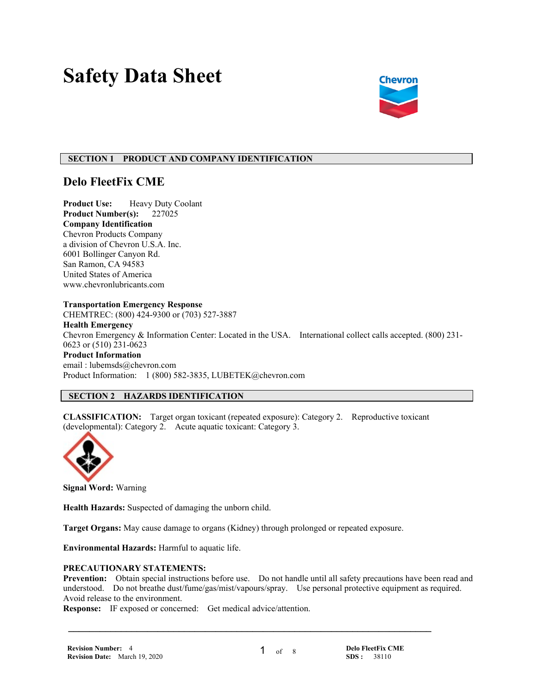# **Safety Data Sheet**



## **SECTION 1 PRODUCT AND COMPANY IDENTIFICATION**

# **Delo FleetFix CME**

**Product Use:** Heavy Duty Coolant **Product Number(s):** 227025 **Company Identification** Chevron Products Company a division of Chevron U.S.A. Inc. 6001 Bollinger Canyon Rd. San Ramon, CA 94583 United States of America www.chevronlubricants.com

#### **Transportation Emergency Response**

CHEMTREC: (800) 424-9300 or (703) 527-3887 **Health Emergency** Chevron Emergency & Information Center: Located in the USA. International collect calls accepted. (800) 231- 0623 or (510) 231-0623 **Product Information** email : lubemsds@chevron.com Product Information: 1 (800) 582-3835, LUBETEK@chevron.com

# **SECTION 2 HAZARDS IDENTIFICATION**

**CLASSIFICATION:** Target organ toxicant (repeated exposure): Category 2. Reproductive toxicant (developmental): Category 2. Acute aquatic toxicant: Category 3.



**Signal Word:** Warning

**Health Hazards:** Suspected of damaging the unborn child.

**Target Organs:** May cause damage to organs (Kidney) through prolonged or repeated exposure.

**Environmental Hazards:** Harmful to aquatic life.

#### **PRECAUTIONARY STATEMENTS:**

**Prevention:** Obtain special instructions before use. Do not handle until all safety precautions have been read and understood. Do not breathe dust/fume/gas/mist/vapours/spray. Use personal protective equipment as required. Avoid release to the environment.

 **\_\_\_\_\_\_\_\_\_\_\_\_\_\_\_\_\_\_\_\_\_\_\_\_\_\_\_\_\_\_\_\_\_\_\_\_\_\_\_\_\_\_\_\_\_\_\_\_\_\_\_\_\_\_\_\_\_\_\_\_\_\_\_\_\_\_\_\_\_**

**Response:** IF exposed or concerned: Get medical advice/attention.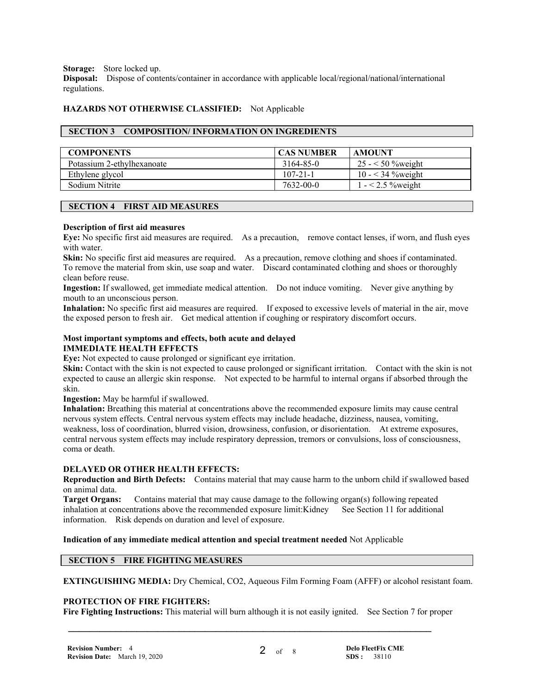**Storage:** Store locked up.

**Disposal:** Dispose of contents/container in accordance with applicable local/regional/national/international regulations.

## **HAZARDS NOT OTHERWISE CLASSIFIED:** Not Applicable

## **SECTION 3 COMPOSITION/ INFORMATION ON INGREDIENTS**

| <b>COMPONENTS</b>          | <b>CAS NUMBER</b> | AMOUNT                  |
|----------------------------|-------------------|-------------------------|
| Potassium 2-ethylhexanoate | 3164-85-0         | 25 - $\leq 50$ % weight |
| Ethylene glycol            | $107 - 21 - 1$    | 10 - $<$ 34 % weight    |
| Sodium Nitrite             | $7632 - 00 - 0$   | $1 - 2.5$ % weight      |

## **SECTION 4 FIRST AID MEASURES**

## **Description of first aid measures**

**Eye:** No specific first aid measures are required. As a precaution, remove contact lenses, if worn, and flush eyes with water.

**Skin:** No specific first aid measures are required. As a precaution, remove clothing and shoes if contaminated. To remove the material from skin, use soap and water. Discard contaminated clothing and shoes or thoroughly clean before reuse.

**Ingestion:** If swallowed, get immediate medical attention. Do not induce vomiting. Never give anything by mouth to an unconscious person.

**Inhalation:** No specific first aid measures are required. If exposed to excessive levels of material in the air, move the exposed person to fresh air. Get medical attention if coughing or respiratory discomfort occurs.

## **Most important symptoms and effects, both acute and delayed IMMEDIATE HEALTH EFFECTS**

**Eve:** Not expected to cause prolonged or significant eve irritation.

**Skin:** Contact with the skin is not expected to cause prolonged or significant irritation. Contact with the skin is not expected to cause an allergic skin response. Not expected to be harmful to internal organs if absorbed through the skin.

**Ingestion:** May be harmful if swallowed.

**Inhalation:** Breathing this material at concentrations above the recommended exposure limits may cause central nervous system effects. Central nervous system effects may include headache, dizziness, nausea, vomiting, weakness, loss of coordination, blurred vision, drowsiness, confusion, or disorientation. At extreme exposures, central nervous system effects may include respiratory depression, tremors or convulsions, loss of consciousness, coma or death.

## **DELAYED OR OTHER HEALTH EFFECTS:**

**Reproduction and Birth Defects:** Contains material that may cause harm to the unborn child if swallowed based on animal data.

**Target Organs:** Contains material that may cause damage to the following organ(s) following repeated inhalation at concentrations above the recommended exposure limit:Kidney See Section 11 for additional information. Risk depends on duration and level of exposure.

## **Indication of any immediate medical attention and special treatment needed** Not Applicable

# **SECTION 5 FIRE FIGHTING MEASURES**

**EXTINGUISHING MEDIA:** Dry Chemical, CO2, Aqueous Film Forming Foam (AFFF) or alcohol resistant foam.

## **PROTECTION OF FIRE FIGHTERS:**

**Fire Fighting Instructions:** This material will burn although it is not easily ignited. See Section 7 for proper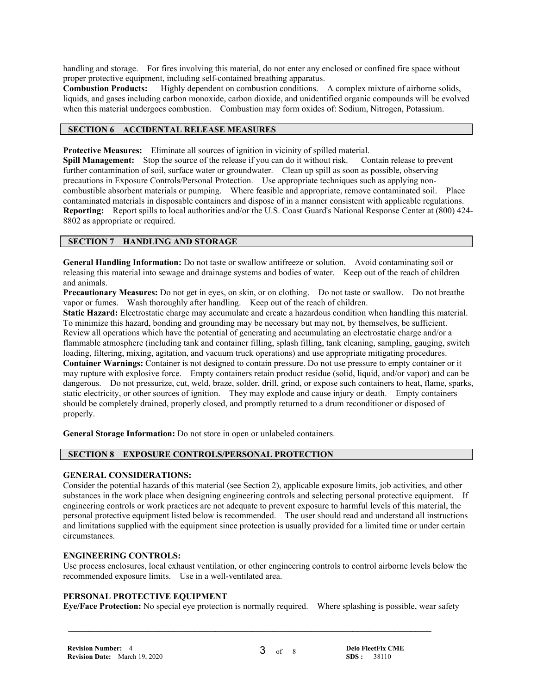handling and storage. For fires involving this material, do not enter any enclosed or confined fire space without proper protective equipment, including self-contained breathing apparatus.

**Combustion Products:** Highly dependent on combustion conditions. A complex mixture of airborne solids, liquids, and gases including carbon monoxide, carbon dioxide, and unidentified organic compounds will be evolved when this material undergoes combustion. Combustion may form oxides of: Sodium, Nitrogen, Potassium.

# **SECTION 6 ACCIDENTAL RELEASE MEASURES**

**Protective Measures:** Eliminate all sources of ignition in vicinity of spilled material.

**Spill Management:** Stop the source of the release if you can do it without risk. Contain release to prevent further contamination of soil, surface water or groundwater. Clean up spill as soon as possible, observing precautions in Exposure Controls/Personal Protection. Use appropriate techniques such as applying noncombustible absorbent materials or pumping. Where feasible and appropriate, remove contaminated soil. Place contaminated materials in disposable containers and dispose of in a manner consistent with applicable regulations. **Reporting:** Report spills to local authorities and/or the U.S. Coast Guard's National Response Center at (800) 424- 8802 as appropriate or required.

# **SECTION 7 HANDLING AND STORAGE**

**General Handling Information:** Do not taste or swallow antifreeze or solution. Avoid contaminating soil or releasing this material into sewage and drainage systems and bodies of water. Keep out of the reach of children and animals.

**Precautionary Measures:** Do not get in eyes, on skin, or on clothing. Do not taste or swallow. Do not breathe vapor or fumes. Wash thoroughly after handling. Keep out of the reach of children.

**Static Hazard:** Electrostatic charge may accumulate and create a hazardous condition when handling this material. To minimize this hazard, bonding and grounding may be necessary but may not, by themselves, be sufficient. Review all operations which have the potential of generating and accumulating an electrostatic charge and/or a flammable atmosphere (including tank and container filling, splash filling, tank cleaning, sampling, gauging, switch loading, filtering, mixing, agitation, and vacuum truck operations) and use appropriate mitigating procedures. **Container Warnings:** Container is not designed to contain pressure. Do not use pressure to empty container or it may rupture with explosive force. Empty containers retain product residue (solid, liquid, and/or vapor) and can be dangerous. Do not pressurize, cut, weld, braze, solder, drill, grind, or expose such containers to heat, flame, sparks, static electricity, or other sources of ignition. They may explode and cause injury or death. Empty containers should be completely drained, properly closed, and promptly returned to a drum reconditioner or disposed of properly.

**General Storage Information:** Do not store in open or unlabeled containers.

## **SECTION 8 EXPOSURE CONTROLS/PERSONAL PROTECTION**

## **GENERAL CONSIDERATIONS:**

Consider the potential hazards of this material (see Section 2), applicable exposure limits, job activities, and other substances in the work place when designing engineering controls and selecting personal protective equipment. If engineering controls or work practices are not adequate to prevent exposure to harmful levels of this material, the personal protective equipment listed below is recommended. The user should read and understand all instructions and limitations supplied with the equipment since protection is usually provided for a limited time or under certain circumstances.

## **ENGINEERING CONTROLS:**

Use process enclosures, local exhaust ventilation, or other engineering controls to control airborne levels below the recommended exposure limits. Use in a well-ventilated area.

#### **PERSONAL PROTECTIVE EQUIPMENT**

**Eye/Face Protection:** No special eye protection is normally required. Where splashing is possible, wear safety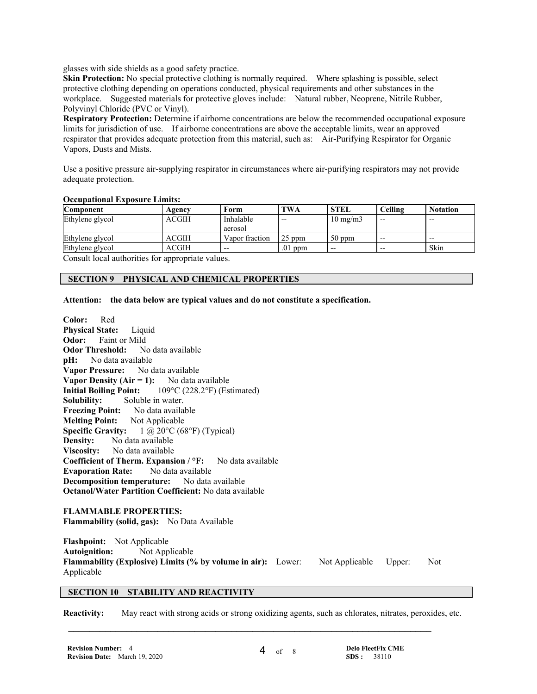glasses with side shields as a good safety practice.

**Skin Protection:** No special protective clothing is normally required. Where splashing is possible, select protective clothing depending on operations conducted, physical requirements and other substances in the workplace. Suggested materials for protective gloves include: Natural rubber, Neoprene, Nitrile Rubber, Polyvinyl Chloride (PVC or Vinyl).

**Respiratory Protection:** Determine if airborne concentrations are below the recommended occupational exposure limits for jurisdiction of use. If airborne concentrations are above the acceptable limits, wear an approved respirator that provides adequate protection from this material, such as: Air-Purifying Respirator for Organic Vapors, Dusts and Mists.

Use a positive pressure air-supplying respirator in circumstances where air-purifying respirators may not provide adequate protection.

#### **Occupational Exposure Limits:**

| <b>Component</b> | Agencv       | Form                 | <b>TWA</b> | <b>STEL</b>       | Ceiling | <b>Notation</b> |
|------------------|--------------|----------------------|------------|-------------------|---------|-----------------|
| Ethylene glycol  | <b>ACGIH</b> | Inhalable<br>aerosol | $- -$      | $10 \text{ mg/m}$ | $- -$   | $- -$           |
| Ethylene glycol  | ACGIH        | Vapor fraction       | $25$ ppm   | $50$ ppm          | $- -$   | $- -$           |
| Ethylene glycol  | ACGIH        | $- -$                | $.01$ ppm  | $- -$             | $- -$   | Skin            |

Consult local authorities for appropriate values.

# **SECTION 9 PHYSICAL AND CHEMICAL PROPERTIES**

#### **Attention: the data below are typical values and do not constitute a specification.**

**Color:** Red **Physical State:** Liquid **Odor:** Faint or Mild **Odor Threshold:** No data available **pH:** No data available **Vapor Pressure:** No data available **Vapor Density (Air = 1):** No data available<br>**Initial Boiling Point:** 109°C (228.2°F) (Est **Initial Boiling Point:** 109°C (228.2°F) (Estimated) **Solubility:** Soluble in water. **Freezing Point:** No data available **Melting Point:** Not Applicable **Specific Gravity:**  $1 \text{ @ } 20^{\circ} \text{C} (68^{\circ} \text{F})$  (Typical) **Density:** No data available **Viscosity:** No data available **Coefficient of Therm. Expansion / °F:** No data available **Evaporation Rate:** No data available **Decomposition temperature:** No data available **Octanol/Water Partition Coefficient:** No data available

## **FLAMMABLE PROPERTIES:**

**Flammability (solid, gas):** No Data Available

**Flashpoint:** Not Applicable **Autoignition:** Not Applicable **Flammability (Explosive) Limits (% by volume in air):** Lower: Not Applicable Upper: Not Applicable

# **SECTION 10 STABILITY AND REACTIVITY**

**Reactivity:** May react with strong acids or strong oxidizing agents, such as chlorates, nitrates, peroxides, etc.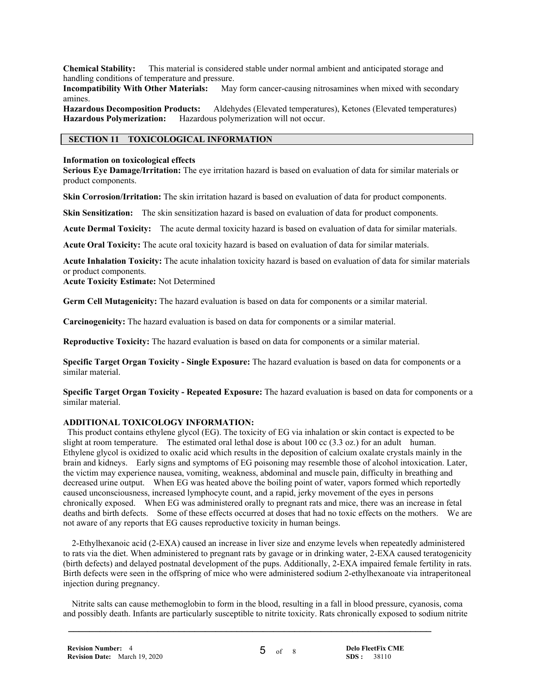**Chemical Stability:** This material is considered stable under normal ambient and anticipated storage and handling conditions of temperature and pressure.

**Incompatibility With Other Materials:** May form cancer-causing nitrosamines when mixed with secondary amines.

**Hazardous Decomposition Products:** Aldehydes (Elevated temperatures), Ketones (Elevated temperatures) **Hazardous Polymerization:** Hazardous polymerization will not occur.

# **SECTION 11 TOXICOLOGICAL INFORMATION**

#### **Information on toxicological effects**

**Serious Eye Damage/Irritation:** The eye irritation hazard is based on evaluation of data for similar materials or product components.

**Skin Corrosion/Irritation:** The skin irritation hazard is based on evaluation of data for product components.

**Skin Sensitization:** The skin sensitization hazard is based on evaluation of data for product components.

**Acute Dermal Toxicity:** The acute dermal toxicity hazard is based on evaluation of data for similar materials.

**Acute Oral Toxicity:** The acute oral toxicity hazard is based on evaluation of data for similar materials.

**Acute Inhalation Toxicity:** The acute inhalation toxicity hazard is based on evaluation of data for similar materials or product components.

**Acute Toxicity Estimate:** Not Determined

**Germ Cell Mutagenicity:** The hazard evaluation is based on data for components or a similar material.

**Carcinogenicity:** The hazard evaluation is based on data for components or a similar material.

**Reproductive Toxicity:** The hazard evaluation is based on data for components or a similar material.

**Specific Target Organ Toxicity - Single Exposure:** The hazard evaluation is based on data for components or a similar material.

**Specific Target Organ Toxicity - Repeated Exposure:** The hazard evaluation is based on data for components or a similar material.

## **ADDITIONAL TOXICOLOGY INFORMATION:**

 This product contains ethylene glycol (EG). The toxicity of EG via inhalation or skin contact is expected to be slight at room temperature. The estimated oral lethal dose is about 100 cc (3.3 oz.) for an adult human. Ethylene glycol is oxidized to oxalic acid which results in the deposition of calcium oxalate crystals mainly in the brain and kidneys. Early signs and symptoms of EG poisoning may resemble those of alcohol intoxication. Later, the victim may experience nausea, vomiting, weakness, abdominal and muscle pain, difficulty in breathing and decreased urine output. When EG was heated above the boiling point of water, vapors formed which reportedly caused unconsciousness, increased lymphocyte count, and a rapid, jerky movement of the eyes in persons chronically exposed. When EG was administered orally to pregnant rats and mice, there was an increase in fetal deaths and birth defects. Some of these effects occurred at doses that had no toxic effects on the mothers. We are not aware of any reports that EG causes reproductive toxicity in human beings.

 2-Ethylhexanoic acid (2-EXA) caused an increase in liver size and enzyme levels when repeatedly administered to rats via the diet. When administered to pregnant rats by gavage or in drinking water, 2-EXA caused teratogenicity (birth defects) and delayed postnatal development of the pups. Additionally, 2-EXA impaired female fertility in rats. Birth defects were seen in the offspring of mice who were administered sodium 2-ethylhexanoate via intraperitoneal injection during pregnancy.

 Nitrite salts can cause methemoglobin to form in the blood, resulting in a fall in blood pressure, cyanosis, coma and possibly death. Infants are particularly susceptible to nitrite toxicity. Rats chronically exposed to sodium nitrite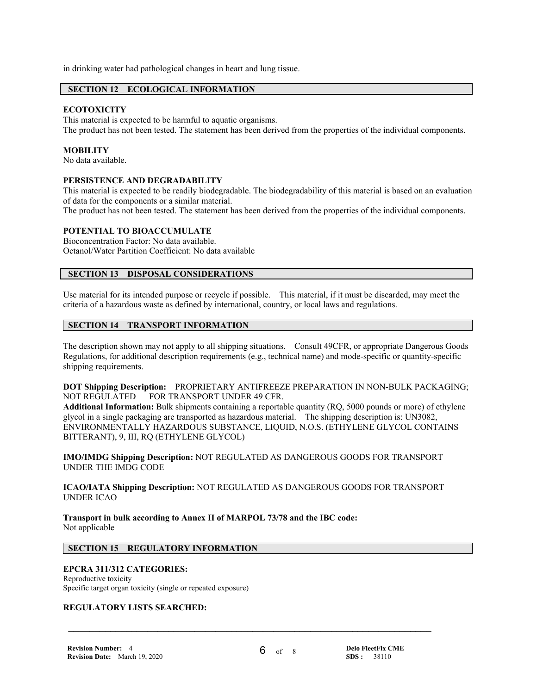in drinking water had pathological changes in heart and lung tissue.

# **SECTION 12 ECOLOGICAL INFORMATION**

## **ECOTOXICITY**

This material is expected to be harmful to aquatic organisms. The product has not been tested. The statement has been derived from the properties of the individual components.

## **MOBILITY**

No data available.

## **PERSISTENCE AND DEGRADABILITY**

This material is expected to be readily biodegradable. The biodegradability of this material is based on an evaluation of data for the components or a similar material.

The product has not been tested. The statement has been derived from the properties of the individual components.

# **POTENTIAL TO BIOACCUMULATE**

Bioconcentration Factor: No data available. Octanol/Water Partition Coefficient: No data available

### **SECTION 13 DISPOSAL CONSIDERATIONS**

Use material for its intended purpose or recycle if possible. This material, if it must be discarded, may meet the criteria of a hazardous waste as defined by international, country, or local laws and regulations.

## **SECTION 14 TRANSPORT INFORMATION**

The description shown may not apply to all shipping situations. Consult 49CFR, or appropriate Dangerous Goods Regulations, for additional description requirements (e.g., technical name) and mode-specific or quantity-specific shipping requirements.

**DOT Shipping Description:** PROPRIETARY ANTIFREEZE PREPARATION IN NON-BULK PACKAGING; NOT REGULATED FOR TRANSPORT UNDER 49 CFR.

**Additional Information:** Bulk shipments containing a reportable quantity (RQ, 5000 pounds or more) of ethylene glycol in a single packaging are transported as hazardous material. The shipping description is: UN3082, ENVIRONMENTALLY HAZARDOUS SUBSTANCE, LIQUID, N.O.S. (ETHYLENE GLYCOL CONTAINS BITTERANT), 9, III, RQ (ETHYLENE GLYCOL)

**IMO/IMDG Shipping Description:** NOT REGULATED AS DANGEROUS GOODS FOR TRANSPORT UNDER THE IMDG CODE

**ICAO/IATA Shipping Description:** NOT REGULATED AS DANGEROUS GOODS FOR TRANSPORT UNDER ICAO

 **\_\_\_\_\_\_\_\_\_\_\_\_\_\_\_\_\_\_\_\_\_\_\_\_\_\_\_\_\_\_\_\_\_\_\_\_\_\_\_\_\_\_\_\_\_\_\_\_\_\_\_\_\_\_\_\_\_\_\_\_\_\_\_\_\_\_\_\_\_**

**Transport in bulk according to Annex II of MARPOL 73/78 and the IBC code:** Not applicable

## **SECTION 15 REGULATORY INFORMATION**

## **EPCRA 311/312 CATEGORIES:**

Reproductive toxicity Specific target organ toxicity (single or repeated exposure)

# **REGULATORY LISTS SEARCHED:**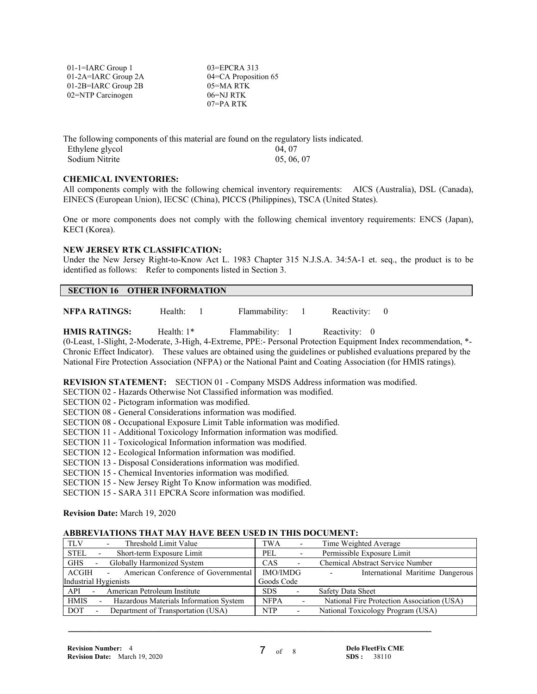| $01$ -1=IARC Group 1  | $03 = EPCRA$ 313     |
|-----------------------|----------------------|
| 01-2A=IARC Group 2A   | 04=CA Proposition 65 |
| $01-2B=IARC$ Group 2B | $05 = MA$ RTK        |
| 02=NTP Carcinogen     | 06=NJ RTK            |
|                       | $07 = PA$ RTK        |

The following components of this material are found on the regulatory lists indicated. Ethylene glycol and the USA of the USA of the USA of the USA of the USA of the USA of the USA of the USA of the USA of the USA of the USA of the USA of the USA of the USA of the USA of the USA of the USA of the USA of the Sodium Nitrite

#### **CHEMICAL INVENTORIES:**

All components comply with the following chemical inventory requirements: AICS (Australia), DSL (Canada), EINECS (European Union), IECSC (China), PICCS (Philippines), TSCA (United States).

One or more components does not comply with the following chemical inventory requirements: ENCS (Japan), KECI (Korea).

#### **NEW JERSEY RTK CLASSIFICATION:**

Under the New Jersey Right-to-Know Act L. 1983 Chapter 315 N.J.S.A. 34:5A-1 et. seq., the product is to be identified as follows: Refer to components listed in Section 3.

## **SECTION 16 OTHER INFORMATION**

**NFPA RATINGS:** Health: 1 Flammability: 1 Reactivity: 0

**HMIS RATINGS:** Health: 1\* Flammability: 1 Reactivity: 0 (0-Least, 1-Slight, 2-Moderate, 3-High, 4-Extreme, PPE:- Personal Protection Equipment Index recommendation, \*- Chronic Effect Indicator). These values are obtained using the guidelines or published evaluations prepared by the National Fire Protection Association (NFPA) or the National Paint and Coating Association (for HMIS ratings).

**REVISION STATEMENT:** SECTION 01 - Company MSDS Address information was modified.

SECTION 02 - Hazards Otherwise Not Classified information was modified.

SECTION 02 - Pictogram information was modified.

- SECTION 08 General Considerations information was modified.
- SECTION 08 Occupational Exposure Limit Table information was modified.
- SECTION 11 Additional Toxicology Information information was modified.
- SECTION 11 Toxicological Information information was modified.
- SECTION 12 Ecological Information information was modified.
- SECTION 13 Disposal Considerations information was modified.

SECTION 15 - Chemical Inventories information was modified.

SECTION 15 - New Jersey Right To Know information was modified.

SECTION 15 - SARA 311 EPCRA Score information was modified.

**Revision Date:** March 19, 2020

#### **ABBREVIATIONS THAT MAY HAVE BEEN USED IN THIS DOCUMENT:**

| Threshold Limit Value<br><b>TLV</b>                                          | <b>TWA</b>                             | Time Weighted Average                                        |
|------------------------------------------------------------------------------|----------------------------------------|--------------------------------------------------------------|
| <b>STEL</b><br>Short-term Exposure Limit                                     | PEL                                    | Permissible Exposure Limit                                   |
| <b>GHS</b><br>Globally Harmonized System<br>$\sim$                           | <b>CAS</b><br>$\overline{\phantom{a}}$ | <b>Chemical Abstract Service Number</b>                      |
| American Conference of Governmental<br>ACGIH<br>$\sim$                       | IMO/IMDG                               | International Maritime Dangerous<br>$\overline{\phantom{a}}$ |
| Industrial Hygienists                                                        | Goods Code                             |                                                              |
| American Petroleum Institute<br>API<br>$\sim$ 10 $\pm$                       | <b>SDS</b><br>$\overline{\phantom{a}}$ | Safety Data Sheet                                            |
| <b>HMIS</b><br>Hazardous Materials Information System                        | <b>NFPA</b>                            | National Fire Protection Association (USA)                   |
| Department of Transportation (USA)<br><b>DOT</b><br>$\overline{\phantom{0}}$ | <b>NTP</b><br>$\overline{\phantom{a}}$ | National Toxicology Program (USA)                            |